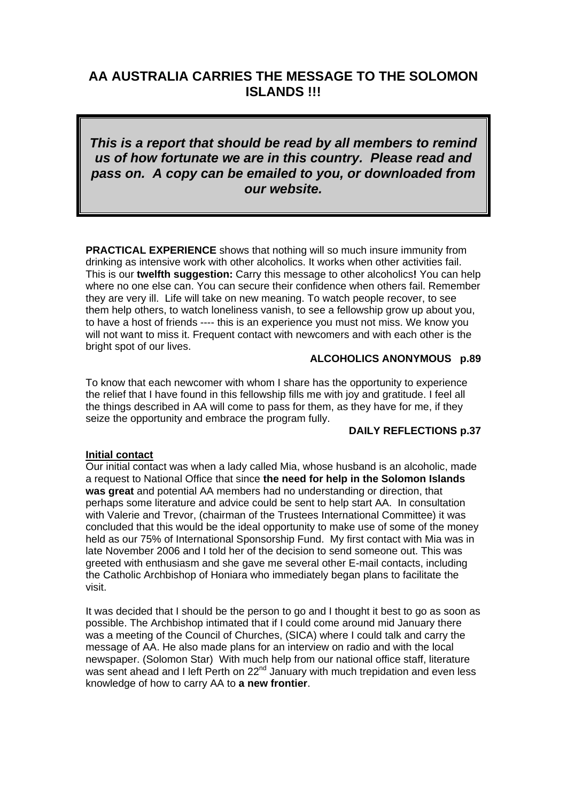# **AA AUSTRALIA CARRIES THE MESSAGE TO THE SOLOMON ISLANDS !!!**

*This is a report that should be read by all members to remind us of how fortunate we are in this country. Please read and pass on. A copy can be emailed to you, or downloaded from our website.* 

**PRACTICAL EXPERIENCE** shows that nothing will so much insure immunity from drinking as intensive work with other alcoholics. It works when other activities fail. This is our **twelfth suggestion:** Carry this message to other alcoholics**!** You can help where no one else can. You can secure their confidence when others fail. Remember they are very ill. Life will take on new meaning. To watch people recover, to see them help others, to watch loneliness vanish, to see a fellowship grow up about you, to have a host of friends ---- this is an experience you must not miss. We know you will not want to miss it. Frequent contact with newcomers and with each other is the bright spot of our lives.

# **ALCOHOLICS ANONYMOUS p.89**

To know that each newcomer with whom I share has the opportunity to experience the relief that I have found in this fellowship fills me with joy and gratitude. I feel all the things described in AA will come to pass for them, as they have for me, if they seize the opportunity and embrace the program fully.

### **DAILY REFLECTIONS p.37**

#### **Initial contact**

Our initial contact was when a lady called Mia, whose husband is an alcoholic, made a request to National Office that since **the need for help in the Solomon Islands was great** and potential AA members had no understanding or direction, that perhaps some literature and advice could be sent to help start AA. In consultation with Valerie and Trevor, (chairman of the Trustees International Committee) it was concluded that this would be the ideal opportunity to make use of some of the money held as our 75% of International Sponsorship Fund. My first contact with Mia was in late November 2006 and I told her of the decision to send someone out. This was greeted with enthusiasm and she gave me several other E-mail contacts, including the Catholic Archbishop of Honiara who immediately began plans to facilitate the visit.

It was decided that I should be the person to go and I thought it best to go as soon as possible. The Archbishop intimated that if I could come around mid January there was a meeting of the Council of Churches, (SICA) where I could talk and carry the message of AA. He also made plans for an interview on radio and with the local newspaper. (Solomon Star) With much help from our national office staff, literature was sent ahead and I left Perth on 22<sup>nd</sup> January with much trepidation and even less knowledge of how to carry AA to **a new frontier**.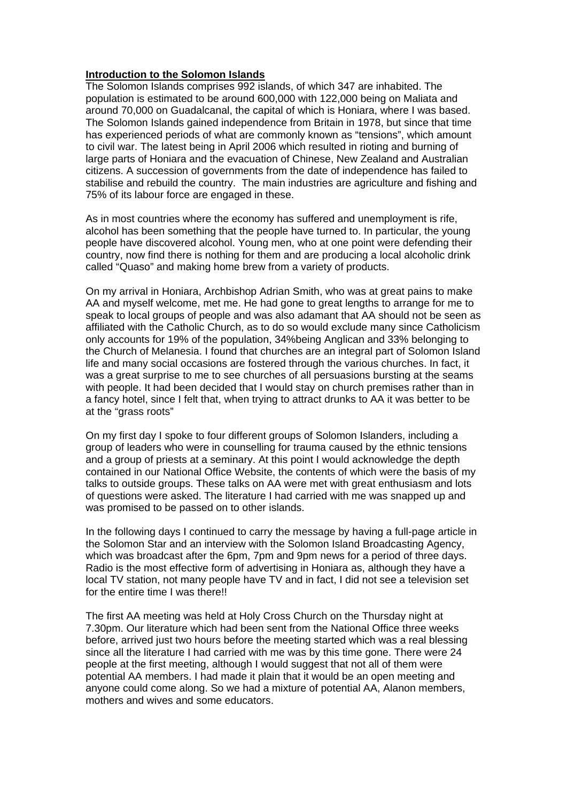## **Introduction to the Solomon Islands**

The Solomon Islands comprises 992 islands, of which 347 are inhabited. The population is estimated to be around 600,000 with 122,000 being on Maliata and around 70,000 on Guadalcanal, the capital of which is Honiara, where I was based. The Solomon Islands gained independence from Britain in 1978, but since that time has experienced periods of what are commonly known as "tensions", which amount to civil war. The latest being in April 2006 which resulted in rioting and burning of large parts of Honiara and the evacuation of Chinese, New Zealand and Australian citizens. A succession of governments from the date of independence has failed to stabilise and rebuild the country. The main industries are agriculture and fishing and 75% of its labour force are engaged in these.

As in most countries where the economy has suffered and unemployment is rife, alcohol has been something that the people have turned to. In particular, the young people have discovered alcohol. Young men, who at one point were defending their country, now find there is nothing for them and are producing a local alcoholic drink called "Quaso" and making home brew from a variety of products.

On my arrival in Honiara, Archbishop Adrian Smith, who was at great pains to make AA and myself welcome, met me. He had gone to great lengths to arrange for me to speak to local groups of people and was also adamant that AA should not be seen as affiliated with the Catholic Church, as to do so would exclude many since Catholicism only accounts for 19% of the population, 34%being Anglican and 33% belonging to the Church of Melanesia. I found that churches are an integral part of Solomon Island life and many social occasions are fostered through the various churches. In fact, it was a great surprise to me to see churches of all persuasions bursting at the seams with people. It had been decided that I would stay on church premises rather than in a fancy hotel, since I felt that, when trying to attract drunks to AA it was better to be at the "grass roots"

On my first day I spoke to four different groups of Solomon Islanders, including a group of leaders who were in counselling for trauma caused by the ethnic tensions and a group of priests at a seminary. At this point I would acknowledge the depth contained in our National Office Website, the contents of which were the basis of my talks to outside groups. These talks on AA were met with great enthusiasm and lots of questions were asked. The literature I had carried with me was snapped up and was promised to be passed on to other islands.

In the following days I continued to carry the message by having a full-page article in the Solomon Star and an interview with the Solomon Island Broadcasting Agency, which was broadcast after the 6pm, 7pm and 9pm news for a period of three days. Radio is the most effective form of advertising in Honiara as, although they have a local TV station, not many people have TV and in fact, I did not see a television set for the entire time I was there!!

The first AA meeting was held at Holy Cross Church on the Thursday night at 7.30pm. Our literature which had been sent from the National Office three weeks before, arrived just two hours before the meeting started which was a real blessing since all the literature I had carried with me was by this time gone. There were 24 people at the first meeting, although I would suggest that not all of them were potential AA members. I had made it plain that it would be an open meeting and anyone could come along. So we had a mixture of potential AA, Alanon members, mothers and wives and some educators.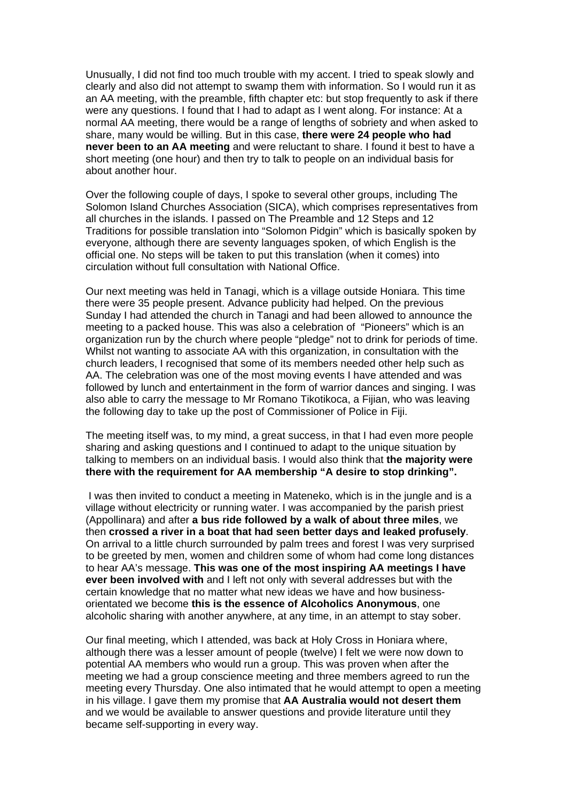Unusually, I did not find too much trouble with my accent. I tried to speak slowly and clearly and also did not attempt to swamp them with information. So I would run it as an AA meeting, with the preamble, fifth chapter etc: but stop frequently to ask if there were any questions. I found that I had to adapt as I went along. For instance: At a normal AA meeting, there would be a range of lengths of sobriety and when asked to share, many would be willing. But in this case, **there were 24 people who had never been to an AA meeting** and were reluctant to share. I found it best to have a short meeting (one hour) and then try to talk to people on an individual basis for about another hour.

Over the following couple of days, I spoke to several other groups, including The Solomon Island Churches Association (SICA), which comprises representatives from all churches in the islands. I passed on The Preamble and 12 Steps and 12 Traditions for possible translation into "Solomon Pidgin" which is basically spoken by everyone, although there are seventy languages spoken, of which English is the official one. No steps will be taken to put this translation (when it comes) into circulation without full consultation with National Office.

Our next meeting was held in Tanagi, which is a village outside Honiara. This time there were 35 people present. Advance publicity had helped. On the previous Sunday I had attended the church in Tanagi and had been allowed to announce the meeting to a packed house. This was also a celebration of "Pioneers" which is an organization run by the church where people "pledge" not to drink for periods of time. Whilst not wanting to associate AA with this organization, in consultation with the church leaders, I recognised that some of its members needed other help such as AA. The celebration was one of the most moving events I have attended and was followed by lunch and entertainment in the form of warrior dances and singing. I was also able to carry the message to Mr Romano Tikotikoca, a Fijian, who was leaving the following day to take up the post of Commissioner of Police in Fiji.

The meeting itself was, to my mind, a great success, in that I had even more people sharing and asking questions and I continued to adapt to the unique situation by talking to members on an individual basis. I would also think that **the majority were there with the requirement for AA membership "A desire to stop drinking".** 

 I was then invited to conduct a meeting in Mateneko, which is in the jungle and is a village without electricity or running water. I was accompanied by the parish priest (Appollinara) and after **a bus ride followed by a walk of about three miles**, we then **crossed a river in a boat that had seen better days and leaked profusely**. On arrival to a little church surrounded by palm trees and forest I was very surprised to be greeted by men, women and children some of whom had come long distances to hear AA's message. **This was one of the most inspiring AA meetings I have ever been involved with** and I left not only with several addresses but with the certain knowledge that no matter what new ideas we have and how businessorientated we become **this is the essence of Alcoholics Anonymous**, one alcoholic sharing with another anywhere, at any time, in an attempt to stay sober.

Our final meeting, which I attended, was back at Holy Cross in Honiara where, although there was a lesser amount of people (twelve) I felt we were now down to potential AA members who would run a group. This was proven when after the meeting we had a group conscience meeting and three members agreed to run the meeting every Thursday. One also intimated that he would attempt to open a meeting in his village. I gave them my promise that **AA Australia would not desert them** and we would be available to answer questions and provide literature until they became self-supporting in every way.